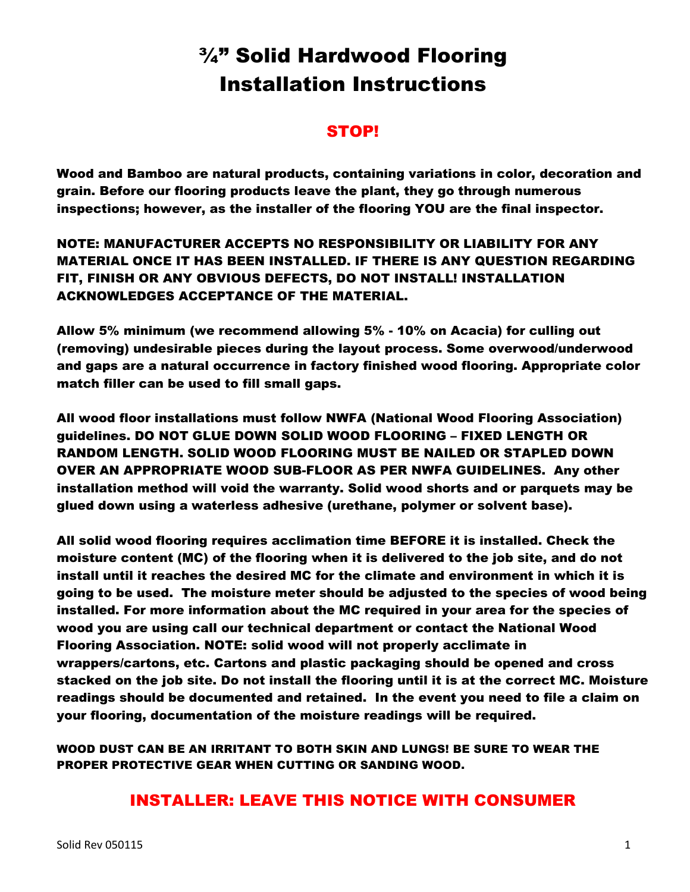# ¾" Solid Hardwood Flooring Installation Instructions

# STOP!

Wood and Bamboo are natural products, containing variations in color, decoration and grain. Before our flooring products leave the plant, they go through numerous inspections; however, as the installer of the flooring YOU are the final inspector.

# NOTE: MANUFACTURER ACCEPTS NO RESPONSIBILITY OR LIABILITY FOR ANY MATERIAL ONCE IT HAS BEEN INSTALLED. IF THERE IS ANY QUESTION REGARDING FIT, FINISH OR ANY OBVIOUS DEFECTS, DO NOT INSTALL! INSTALLATION ACKNOWLEDGES ACCEPTANCE OF THE MATERIAL.

Allow 5% minimum (we recommend allowing 5% - 10% on Acacia) for culling out (removing) undesirable pieces during the layout process. Some overwood/underwood and gaps are a natural occurrence in factory finished wood flooring. Appropriate color match filler can be used to fill small gaps.

All wood floor installations must follow NWFA (National Wood Flooring Association) guidelines. DO NOT GLUE DOWN SOLID WOOD FLOORING – FIXED LENGTH OR RANDOM LENGTH. SOLID WOOD FLOORING MUST BE NAILED OR STAPLED DOWN OVER AN APPROPRIATE WOOD SUB-FLOOR AS PER NWFA GUIDELINES. Any other installation method will void the warranty. Solid wood shorts and or parquets may be glued down using a waterless adhesive (urethane, polymer or solvent base).

All solid wood flooring requires acclimation time BEFORE it is installed. Check the moisture content (MC) of the flooring when it is delivered to the job site, and do not install until it reaches the desired MC for the climate and environment in which it is going to be used. The moisture meter should be adjusted to the species of wood being installed. For more information about the MC required in your area for the species of wood you are using call our technical department or contact the National Wood Flooring Association. NOTE: solid wood will not properly acclimate in wrappers/cartons, etc. Cartons and plastic packaging should be opened and cross stacked on the job site. Do not install the flooring until it is at the correct MC. Moisture readings should be documented and retained. In the event you need to file a claim on your flooring, documentation of the moisture readings will be required.

WOOD DUST CAN BE AN IRRITANT TO BOTH SKIN AND LUNGS! BE SURE TO WEAR THE PROPER PROTECTIVE GEAR WHEN CUTTING OR SANDING WOOD.

# INSTALLER: LEAVE THIS NOTICE WITH CONSUMER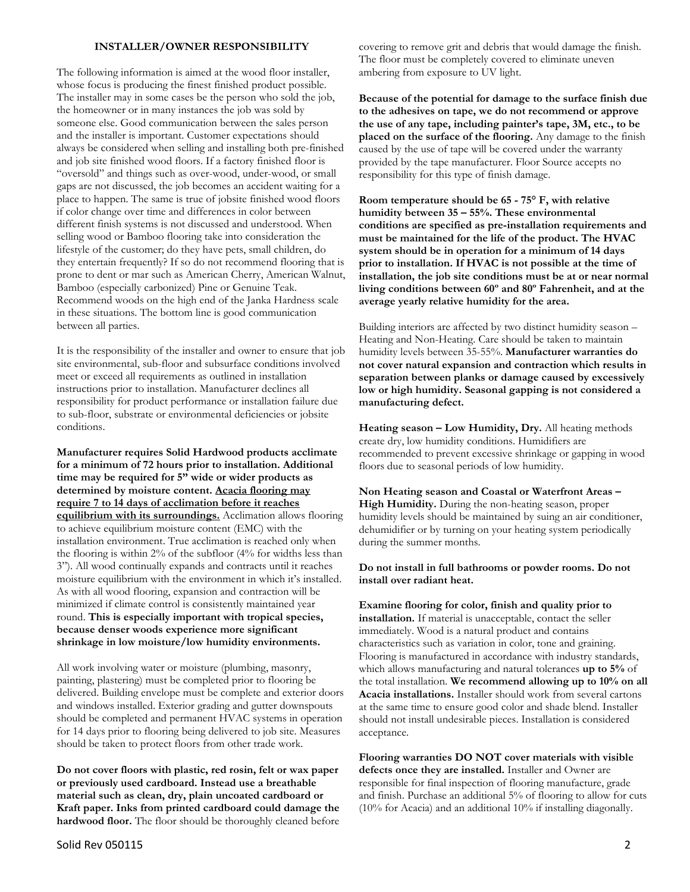#### **INSTALLER/OWNER RESPONSIBILITY**

The following information is aimed at the wood floor installer, whose focus is producing the finest finished product possible. The installer may in some cases be the person who sold the job, the homeowner or in many instances the job was sold by someone else. Good communication between the sales person and the installer is important. Customer expectations should always be considered when selling and installing both pre-finished and job site finished wood floors. If a factory finished floor is "oversold" and things such as over-wood, under-wood, or small gaps are not discussed, the job becomes an accident waiting for a place to happen. The same is true of jobsite finished wood floors if color change over time and differences in color between different finish systems is not discussed and understood. When selling wood or Bamboo flooring take into consideration the lifestyle of the customer; do they have pets, small children, do they entertain frequently? If so do not recommend flooring that is prone to dent or mar such as American Cherry, American Walnut, Bamboo (especially carbonized) Pine or Genuine Teak. Recommend woods on the high end of the Janka Hardness scale in these situations. The bottom line is good communication between all parties.

It is the responsibility of the installer and owner to ensure that job site environmental, sub-floor and subsurface conditions involved meet or exceed all requirements as outlined in installation instructions prior to installation. Manufacturer declines all responsibility for product performance or installation failure due to sub-floor, substrate or environmental deficiencies or jobsite conditions.

**Manufacturer requires Solid Hardwood products acclimate for a minimum of 72 hours prior to installation. Additional time may be required for 5" wide or wider products as determined by moisture content. Acacia flooring may require 7 to 14 days of acclimation before it reaches equilibrium with its surroundings.** Acclimation allows flooring to achieve equilibrium moisture content (EMC) with the installation environment. True acclimation is reached only when the flooring is within 2% of the subfloor (4% for widths less than 3"). All wood continually expands and contracts until it reaches moisture equilibrium with the environment in which it's installed. As with all wood flooring, expansion and contraction will be minimized if climate control is consistently maintained year round. **This is especially important with tropical species, because denser woods experience more significant shrinkage in low moisture/low humidity environments.** 

All work involving water or moisture (plumbing, masonry, painting, plastering) must be completed prior to flooring be delivered. Building envelope must be complete and exterior doors and windows installed. Exterior grading and gutter downspouts should be completed and permanent HVAC systems in operation for 14 days prior to flooring being delivered to job site. Measures should be taken to protect floors from other trade work.

**Do not cover floors with plastic, red rosin, felt or wax paper or previously used cardboard. Instead use a breathable material such as clean, dry, plain uncoated cardboard or Kraft paper. Inks from printed cardboard could damage the hardwood floor.** The floor should be thoroughly cleaned before

Solid Rev 050115 2

covering to remove grit and debris that would damage the finish. The floor must be completely covered to eliminate uneven ambering from exposure to UV light.

**Because of the potential for damage to the surface finish due to the adhesives on tape, we do not recommend or approve the use of any tape, including painter's tape, 3M, etc., to be placed on the surface of the flooring.** Any damage to the finish caused by the use of tape will be covered under the warranty provided by the tape manufacturer. Floor Source accepts no responsibility for this type of finish damage.

**Room temperature should be 65 - 75° F, with relative humidity between 35 – 55%. These environmental conditions are specified as pre-installation requirements and must be maintained for the life of the product. The HVAC system should be in operation for a minimum of 14 days prior to installation. If HVAC is not possible at the time of installation, the job site conditions must be at or near normal living conditions between 60º and 80º Fahrenheit, and at the average yearly relative humidity for the area.**

Building interiors are affected by two distinct humidity season – Heating and Non-Heating. Care should be taken to maintain humidity levels between 35-55%. **Manufacturer warranties do not cover natural expansion and contraction which results in separation between planks or damage caused by excessively low or high humidity. Seasonal gapping is not considered a manufacturing defect.** 

**Heating season – Low Humidity, Dry.** All heating methods create dry, low humidity conditions. Humidifiers are recommended to prevent excessive shrinkage or gapping in wood floors due to seasonal periods of low humidity.

**Non Heating season and Coastal or Waterfront Areas – High Humidity.** During the non-heating season, proper humidity levels should be maintained by suing an air conditioner, dehumidifier or by turning on your heating system periodically during the summer months.

**Do not install in full bathrooms or powder rooms. Do not install over radiant heat.** 

**Examine flooring for color, finish and quality prior to installation.** If material is unacceptable, contact the seller immediately. Wood is a natural product and contains characteristics such as variation in color, tone and graining. Flooring is manufactured in accordance with industry standards, which allows manufacturing and natural tolerances **up to 5%** of the total installation. **We recommend allowing up to 10% on all Acacia installations.** Installer should work from several cartons at the same time to ensure good color and shade blend. Installer should not install undesirable pieces. Installation is considered acceptance.

**Flooring warranties DO NOT cover materials with visible defects once they are installed.** Installer and Owner are responsible for final inspection of flooring manufacture, grade and finish. Purchase an additional 5% of flooring to allow for cuts (10% for Acacia) and an additional 10% if installing diagonally.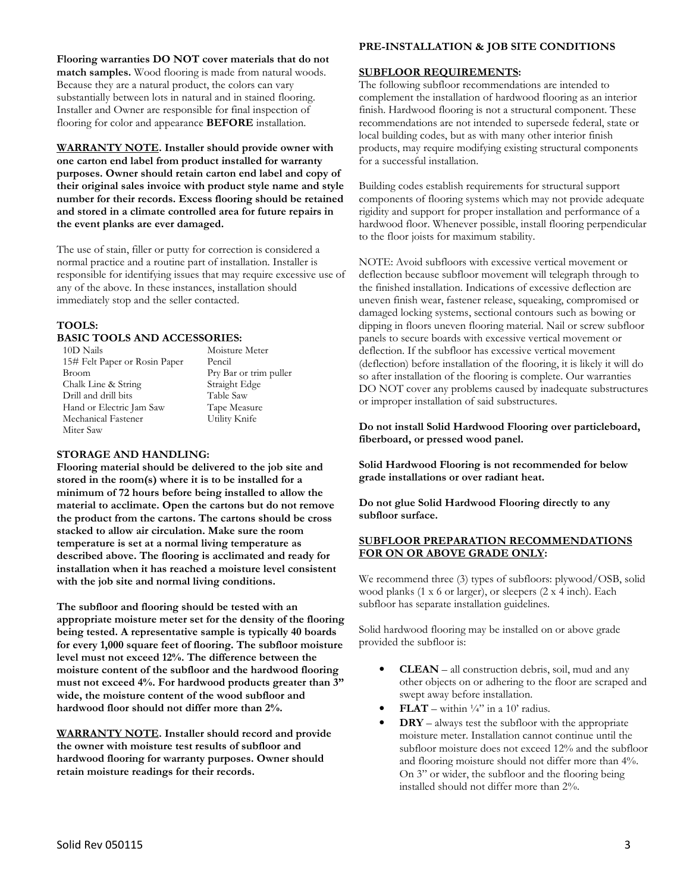**Flooring warranties DO NOT cover materials that do not match samples.** Wood flooring is made from natural woods. Because they are a natural product, the colors can vary substantially between lots in natural and in stained flooring. Installer and Owner are responsible for final inspection of flooring for color and appearance **BEFORE** installation.

**WARRANTY NOTE. Installer should provide owner with one carton end label from product installed for warranty purposes. Owner should retain carton end label and copy of their original sales invoice with product style name and style number for their records. Excess flooring should be retained and stored in a climate controlled area for future repairs in the event planks are ever damaged.** 

The use of stain, filler or putty for correction is considered a normal practice and a routine part of installation. Installer is responsible for identifying issues that may require excessive use of any of the above. In these instances, installation should immediately stop and the seller contacted.

# **TOOLS:**

#### **BASIC TOOLS AND ACCESSORIES:**

10D Nails 15# Felt Paper or Rosin Paper Broom Chalk Line & String Drill and drill bits Hand or Electric Jam Saw Mechanical Fastener Miter Saw

Moisture Meter Pencil Pry Bar or trim puller Straight Edge Table Saw Tape Measure Utility Knife

#### **STORAGE AND HANDLING:**

**Flooring material should be delivered to the job site and stored in the room(s) where it is to be installed for a minimum of 72 hours before being installed to allow the material to acclimate. Open the cartons but do not remove the product from the cartons. The cartons should be cross stacked to allow air circulation. Make sure the room temperature is set at a normal living temperature as described above. The flooring is acclimated and ready for installation when it has reached a moisture level consistent with the job site and normal living conditions.** 

**The subfloor and flooring should be tested with an appropriate moisture meter set for the density of the flooring being tested. A representative sample is typically 40 boards for every 1,000 square feet of flooring. The subfloor moisture level must not exceed 12%. The difference between the moisture content of the subfloor and the hardwood flooring must not exceed 4%. For hardwood products greater than 3" wide, the moisture content of the wood subfloor and hardwood floor should not differ more than 2%.** 

**WARRANTY NOTE. Installer should record and provide the owner with moisture test results of subfloor and hardwood flooring for warranty purposes. Owner should retain moisture readings for their records.**

#### **PRE-INSTALLATION & JOB SITE CONDITIONS**

#### **SUBFLOOR REQUIREMENTS:**

The following subfloor recommendations are intended to complement the installation of hardwood flooring as an interior finish. Hardwood flooring is not a structural component. These recommendations are not intended to supersede federal, state or local building codes, but as with many other interior finish products, may require modifying existing structural components for a successful installation.

Building codes establish requirements for structural support components of flooring systems which may not provide adequate rigidity and support for proper installation and performance of a hardwood floor. Whenever possible, install flooring perpendicular to the floor joists for maximum stability.

NOTE: Avoid subfloors with excessive vertical movement or deflection because subfloor movement will telegraph through to the finished installation. Indications of excessive deflection are uneven finish wear, fastener release, squeaking, compromised or damaged locking systems, sectional contours such as bowing or dipping in floors uneven flooring material. Nail or screw subfloor panels to secure boards with excessive vertical movement or deflection. If the subfloor has excessive vertical movement (deflection) before installation of the flooring, it is likely it will do so after installation of the flooring is complete. Our warranties DO NOT cover any problems caused by inadequate substructures or improper installation of said substructures.

**Do not install Solid Hardwood Flooring over particleboard, fiberboard, or pressed wood panel.** 

**Solid Hardwood Flooring is not recommended for below grade installations or over radiant heat.** 

**Do not glue Solid Hardwood Flooring directly to any subfloor surface.** 

#### **SUBFLOOR PREPARATION RECOMMENDATIONS**  FOR ON OR ABOVE GRADE ONLY:

We recommend three (3) types of subfloors: plywood/OSB, solid wood planks (1 x 6 or larger), or sleepers (2 x 4 inch). Each subfloor has separate installation guidelines.

Solid hardwood flooring may be installed on or above grade provided the subfloor is:

- **CLEAN** all construction debris, soil, mud and any other objects on or adhering to the floor are scraped and swept away before installation.
- **FLAT** within  $\frac{1}{4}$  in a 10' radius.
- **DRY** always test the subfloor with the appropriate moisture meter. Installation cannot continue until the subfloor moisture does not exceed 12% and the subfloor and flooring moisture should not differ more than 4%. On 3" or wider, the subfloor and the flooring being installed should not differ more than 2%.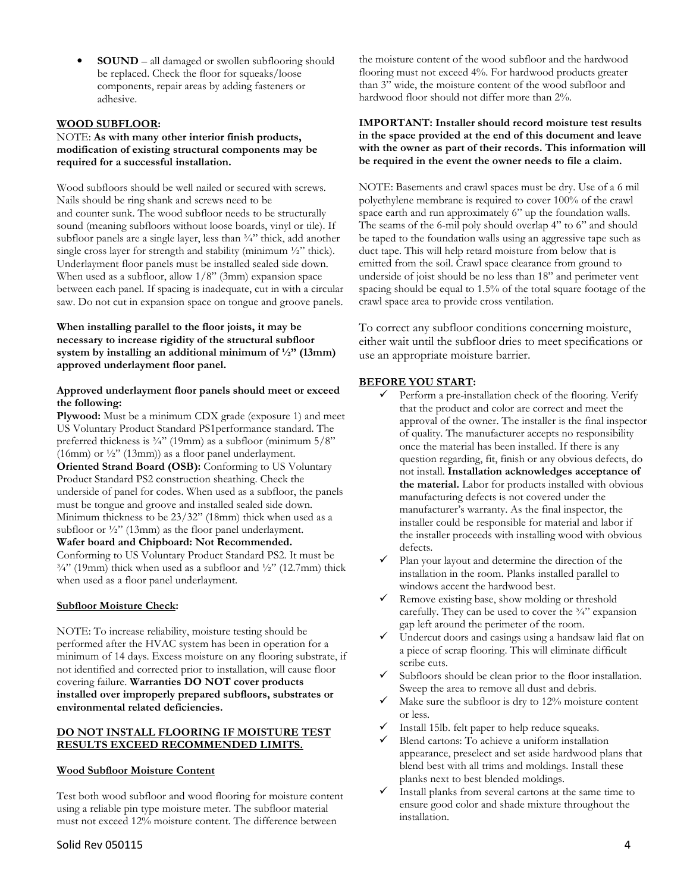• **SOUND** – all damaged or swollen subflooring should be replaced. Check the floor for squeaks/loose components, repair areas by adding fasteners or adhesive.

# **WOOD SUBFLOOR:**

#### NOTE: **As with many other interior finish products, modification of existing structural components may be required for a successful installation.**

Wood subfloors should be well nailed or secured with screws. Nails should be ring shank and screws need to be and counter sunk. The wood subfloor needs to be structurally sound (meaning subfloors without loose boards, vinyl or tile). If subfloor panels are a single layer, less than  $\frac{3}{4}$ " thick, add another single cross layer for strength and stability (minimum  $\frac{1}{2}$ " thick). Underlayment floor panels must be installed sealed side down. When used as a subfloor, allow  $1/8$ " (3mm) expansion space between each panel. If spacing is inadequate, cut in with a circular saw. Do not cut in expansion space on tongue and groove panels.

# **When installing parallel to the floor joists, it may be necessary to increase rigidity of the structural subfloor system by installing an additional minimum of ½" (13mm) approved underlayment floor panel.**

### **Approved underlayment floor panels should meet or exceed the following:**

**Plywood:** Must be a minimum CDX grade (exposure 1) and meet US Voluntary Product Standard PS1performance standard. The preferred thickness is  $\frac{3}{4}$ " (19mm) as a subfloor (minimum 5/8" (16mm) or  $\frac{1}{2}$ " (13mm)) as a floor panel underlayment. **Oriented Strand Board (OSB):** Conforming to US Voluntary Product Standard PS2 construction sheathing. Check the underside of panel for codes. When used as a subfloor, the panels must be tongue and groove and installed sealed side down. Minimum thickness to be 23/32" (18mm) thick when used as a subfloor or  $\frac{1}{2}$ " (13mm) as the floor panel underlayment. **Wafer board and Chipboard: Not Recommended.**  Conforming to US Voluntary Product Standard PS2. It must be  $\frac{3}{4}$ " (19mm) thick when used as a subfloor and  $\frac{1}{2}$ " (12.7mm) thick when used as a floor panel underlayment.

# **Subfloor Moisture Check:**

NOTE: To increase reliability, moisture testing should be performed after the HVAC system has been in operation for a minimum of 14 days. Excess moisture on any flooring substrate, if not identified and corrected prior to installation, will cause floor covering failure. **Warranties DO NOT cover products installed over improperly prepared subfloors, substrates or environmental related deficiencies.** 

#### **DO NOT INSTALL FLOORING IF MOISTURE TEST RESULTS EXCEED RECOMMENDED LIMITS.**

# **Wood Subfloor Moisture Content**

Test both wood subfloor and wood flooring for moisture content using a reliable pin type moisture meter. The subfloor material must not exceed 12% moisture content. The difference between

# Solid Rev 050115 4

the moisture content of the wood subfloor and the hardwood flooring must not exceed 4%. For hardwood products greater than 3" wide, the moisture content of the wood subfloor and hardwood floor should not differ more than 2%.

#### **IMPORTANT: Installer should record moisture test results in the space provided at the end of this document and leave with the owner as part of their records. This information will be required in the event the owner needs to file a claim.**

NOTE: Basements and crawl spaces must be dry. Use of a 6 mil polyethylene membrane is required to cover 100% of the crawl space earth and run approximately 6" up the foundation walls. The seams of the 6-mil poly should overlap 4" to 6" and should be taped to the foundation walls using an aggressive tape such as duct tape. This will help retard moisture from below that is emitted from the soil. Crawl space clearance from ground to underside of joist should be no less than 18" and perimeter vent spacing should be equal to 1.5% of the total square footage of the crawl space area to provide cross ventilation.

To correct any subfloor conditions concerning moisture, either wait until the subfloor dries to meet specifications or use an appropriate moisture barrier.

#### **BEFORE YOU START:**

- Perform a pre-installation check of the flooring. Verify that the product and color are correct and meet the approval of the owner. The installer is the final inspector of quality. The manufacturer accepts no responsibility once the material has been installed. If there is any question regarding, fit, finish or any obvious defects, do not install. **Installation acknowledges acceptance of the material.** Labor for products installed with obvious manufacturing defects is not covered under the manufacturer's warranty. As the final inspector, the installer could be responsible for material and labor if the installer proceeds with installing wood with obvious defects.
- $\checkmark$  Plan your layout and determine the direction of the installation in the room. Planks installed parallel to windows accent the hardwood best.
- $\checkmark$  Remove existing base, show molding or threshold carefully. They can be used to cover the  $\frac{3}{4}$  expansion gap left around the perimeter of the room.
- $\checkmark$  Undercut doors and casings using a handsaw laid flat on a piece of scrap flooring. This will eliminate difficult scribe cuts.
- $\checkmark$  Subfloors should be clean prior to the floor installation. Sweep the area to remove all dust and debris.
- $\checkmark$  Make sure the subfloor is dry to 12% moisture content or less.
- $\checkmark$  Install 15lb. felt paper to help reduce squeaks.
- $\checkmark$  Blend cartons: To achieve a uniform installation appearance, preselect and set aside hardwood plans that blend best with all trims and moldings. Install these planks next to best blended moldings.
- Install planks from several cartons at the same time to ensure good color and shade mixture throughout the installation.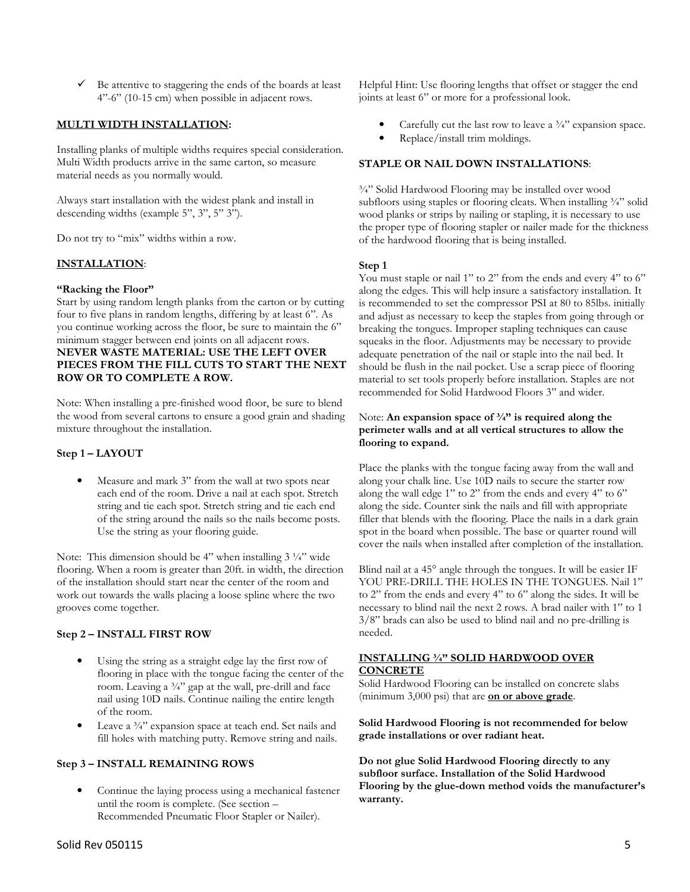$\checkmark$  Be attentive to staggering the ends of the boards at least 4"-6" (10-15 cm) when possible in adjacent rows.

# **MULTI WIDTH INSTALLATION:**

Installing planks of multiple widths requires special consideration. Multi Width products arrive in the same carton, so measure material needs as you normally would.

Always start installation with the widest plank and install in descending widths (example 5", 3", 5" 3").

Do not try to "mix" widths within a row.

#### **INSTALLATION**:

#### **"Racking the Floor"**

Start by using random length planks from the carton or by cutting four to five plans in random lengths, differing by at least 6". As you continue working across the floor, be sure to maintain the 6" minimum stagger between end joints on all adjacent rows. **NEVER WASTE MATERIAL: USE THE LEFT OVER PIECES FROM THE FILL CUTS TO START THE NEXT ROW OR TO COMPLETE A ROW.**

Note: When installing a pre-finished wood floor, be sure to blend the wood from several cartons to ensure a good grain and shading mixture throughout the installation.

# **Step 1 – LAYOUT**

Measure and mark 3" from the wall at two spots near each end of the room. Drive a nail at each spot. Stretch string and tie each spot. Stretch string and tie each end of the string around the nails so the nails become posts. Use the string as your flooring guide.

Note: This dimension should be 4" when installing 3<sup>1</sup>/4" wide flooring. When a room is greater than 20ft. in width, the direction of the installation should start near the center of the room and work out towards the walls placing a loose spline where the two grooves come together.

#### **Step 2 – INSTALL FIRST ROW**

- Using the string as a straight edge lay the first row of flooring in place with the tongue facing the center of the room. Leaving a 3/4" gap at the wall, pre-drill and face nail using 10D nails. Continue nailing the entire length of the room.
- Leave a 3/4" expansion space at teach end. Set nails and fill holes with matching putty. Remove string and nails.

#### **Step 3 – INSTALL REMAINING ROWS**

• Continue the laying process using a mechanical fastener until the room is complete. (See section – Recommended Pneumatic Floor Stapler or Nailer).

Helpful Hint: Use flooring lengths that offset or stagger the end joints at least 6" or more for a professional look.

- Carefully cut the last row to leave a  $\frac{3}{4}$ " expansion space.
- Replace/install trim moldings.

### **STAPLE OR NAIL DOWN INSTALLATIONS**:

¾" Solid Hardwood Flooring may be installed over wood subfloors using staples or flooring cleats. When installing <sup>3</sup>/4" solid wood planks or strips by nailing or stapling, it is necessary to use the proper type of flooring stapler or nailer made for the thickness of the hardwood flooring that is being installed.

#### **Step 1**

You must staple or nail 1" to 2" from the ends and every 4" to 6" along the edges. This will help insure a satisfactory installation. It is recommended to set the compressor PSI at 80 to 85lbs. initially and adjust as necessary to keep the staples from going through or breaking the tongues. Improper stapling techniques can cause squeaks in the floor. Adjustments may be necessary to provide adequate penetration of the nail or staple into the nail bed. It should be flush in the nail pocket. Use a scrap piece of flooring material to set tools properly before installation. Staples are not recommended for Solid Hardwood Floors 3" and wider.

#### Note: **An expansion space of ¾" is required along the perimeter walls and at all vertical structures to allow the flooring to expand.**

Place the planks with the tongue facing away from the wall and along your chalk line. Use 10D nails to secure the starter row along the wall edge 1" to 2" from the ends and every 4" to 6" along the side. Counter sink the nails and fill with appropriate filler that blends with the flooring. Place the nails in a dark grain spot in the board when possible. The base or quarter round will cover the nails when installed after completion of the installation.

Blind nail at a 45° angle through the tongues. It will be easier IF YOU PRE-DRILL THE HOLES IN THE TONGUES. Nail 1" to 2" from the ends and every 4" to 6" along the sides. It will be necessary to blind nail the next 2 rows. A brad nailer with 1" to 1 3/8" brads can also be used to blind nail and no pre-drilling is needed.

# **INSTALLING ¾" SOLID HARDWOOD OVER CONCRETE**

Solid Hardwood Flooring can be installed on concrete slabs (minimum 3,000 psi) that are **on or above grade**.

**Solid Hardwood Flooring is not recommended for below grade installations or over radiant heat.** 

**Do not glue Solid Hardwood Flooring directly to any subfloor surface. Installation of the Solid Hardwood Flooring by the glue-down method voids the manufacturer's warranty.**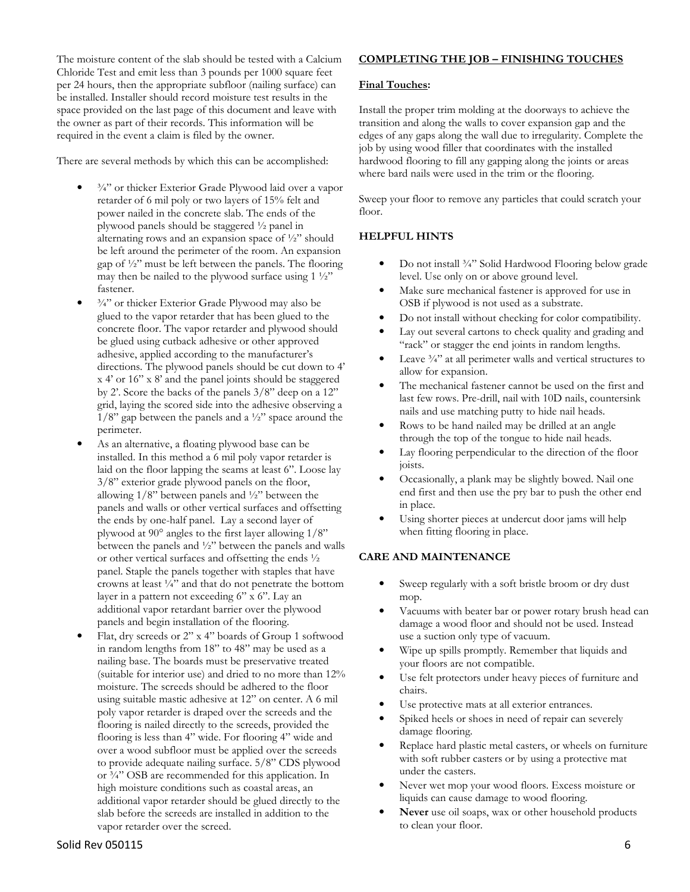The moisture content of the slab should be tested with a Calcium Chloride Test and emit less than 3 pounds per 1000 square feet per 24 hours, then the appropriate subfloor (nailing surface) can be installed. Installer should record moisture test results in the space provided on the last page of this document and leave with the owner as part of their records. This information will be required in the event a claim is filed by the owner.

There are several methods by which this can be accomplished:

- <sup>3/4"</sup> or thicker Exterior Grade Plywood laid over a vapor retarder of 6 mil poly or two layers of 15% felt and power nailed in the concrete slab. The ends of the plywood panels should be staggered ½ panel in alternating rows and an expansion space of ½" should be left around the perimeter of the room. An expansion gap of ½" must be left between the panels. The flooring may then be nailed to the plywood surface using  $1\frac{1}{2}$ " fastener.
- <sup>3/4"</sup> or thicker Exterior Grade Plywood may also be glued to the vapor retarder that has been glued to the concrete floor. The vapor retarder and plywood should be glued using cutback adhesive or other approved adhesive, applied according to the manufacturer's directions. The plywood panels should be cut down to 4' x 4' or 16" x 8' and the panel joints should be staggered by 2'. Score the backs of the panels 3/8" deep on a 12" grid, laying the scored side into the adhesive observing a  $1/8$ " gap between the panels and a  $\frac{1}{2}$ " space around the perimeter.
- As an alternative, a floating plywood base can be installed. In this method a 6 mil poly vapor retarder is laid on the floor lapping the seams at least 6". Loose lay 3/8" exterior grade plywood panels on the floor, allowing 1/8" between panels and ½" between the panels and walls or other vertical surfaces and offsetting the ends by one-half panel. Lay a second layer of plywood at 90° angles to the first layer allowing 1/8" between the panels and ½" between the panels and walls or other vertical surfaces and offsetting the ends ½ panel. Staple the panels together with staples that have crowns at least ¼" and that do not penetrate the bottom layer in a pattern not exceeding 6" x 6". Lay an additional vapor retardant barrier over the plywood panels and begin installation of the flooring.
- Flat, dry screeds or 2" x 4" boards of Group 1 softwood in random lengths from 18" to 48" may be used as a nailing base. The boards must be preservative treated (suitable for interior use) and dried to no more than 12% moisture. The screeds should be adhered to the floor using suitable mastic adhesive at 12" on center. A 6 mil poly vapor retarder is draped over the screeds and the flooring is nailed directly to the screeds, provided the flooring is less than 4" wide. For flooring 4" wide and over a wood subfloor must be applied over the screeds to provide adequate nailing surface. 5/8" CDS plywood or  $\frac{3}{4}$ " OSB are recommended for this application. In high moisture conditions such as coastal areas, an additional vapor retarder should be glued directly to the slab before the screeds are installed in addition to the vapor retarder over the screed.

# **COMPLETING THE JOB – FINISHING TOUCHES**

# **Final Touches:**

Install the proper trim molding at the doorways to achieve the transition and along the walls to cover expansion gap and the edges of any gaps along the wall due to irregularity. Complete the job by using wood filler that coordinates with the installed hardwood flooring to fill any gapping along the joints or areas where bard nails were used in the trim or the flooring.

Sweep your floor to remove any particles that could scratch your floor.

# **HELPFUL HINTS**

- Do not install <sup>3</sup>/4" Solid Hardwood Flooring below grade level. Use only on or above ground level.
- Make sure mechanical fastener is approved for use in OSB if plywood is not used as a substrate.
- Do not install without checking for color compatibility.
- Lay out several cartons to check quality and grading and "rack" or stagger the end joints in random lengths.
- Leave  $\frac{3}{4}$ " at all perimeter walls and vertical structures to allow for expansion.
- The mechanical fastener cannot be used on the first and last few rows. Pre-drill, nail with 10D nails, countersink nails and use matching putty to hide nail heads.
- Rows to be hand nailed may be drilled at an angle through the top of the tongue to hide nail heads.
- Lay flooring perpendicular to the direction of the floor joists.
- Occasionally, a plank may be slightly bowed. Nail one end first and then use the pry bar to push the other end in place.
- Using shorter pieces at undercut door jams will help when fitting flooring in place.

# **CARE AND MAINTENANCE**

- Sweep regularly with a soft bristle broom or dry dust mop.
- Vacuums with beater bar or power rotary brush head can damage a wood floor and should not be used. Instead use a suction only type of vacuum.
- Wipe up spills promptly. Remember that liquids and your floors are not compatible.
- Use felt protectors under heavy pieces of furniture and chairs.
- Use protective mats at all exterior entrances.
- Spiked heels or shoes in need of repair can severely damage flooring.
- Replace hard plastic metal casters, or wheels on furniture with soft rubber casters or by using a protective mat under the casters.
- Never wet mop your wood floors. Excess moisture or liquids can cause damage to wood flooring.
- Never use oil soaps, wax or other household products to clean your floor.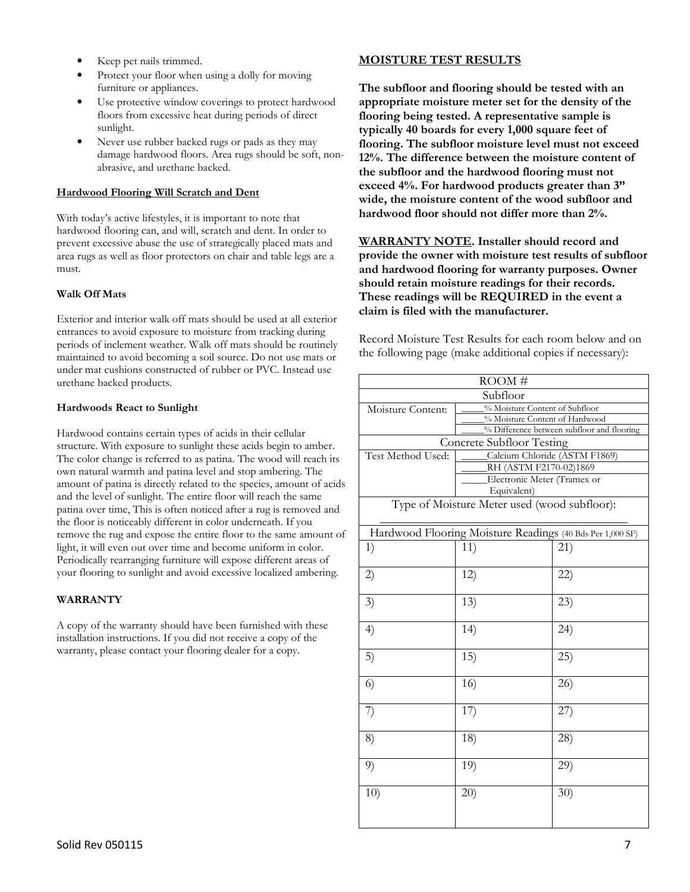- Keep pet nails trimmed.
- Protect your floor when using a dolly for moving furniture or appliances.
- Use protective window coverings to protect hardwood floors from excessive heat during periods of direct sunlight.
- Never use rubber backed rugs or pads as they may damage hardwood floors. Area rugs should be soft, nonabrasive, and urethane backed.

# **Hardwood Flooring Will Scratch and Dent**

With today's active lifestyles, it is important to note that hardwood flooring can, and will, scratch and dent. In order to prevent excessive abuse the use of strategically placed mats and area rugs as well as floor protectors on chair and table legs are a must.

#### **Walk Off Mats**

Exterior and interior walk off mats should be used at all exterior entrances to avoid exposure to moisture from tracking during periods of inclement weather. Walk off mats should be routinely maintained to avoid becoming a soil source. Do not use mats or under mat cushions constructed of rubber or PVC. Instead use urethane backed products.

# **Hardwoods React to Sunlight**

Hardwood contains certain types of acids in their cellular structure. With exposure to sunlight these acids begin to amber. The color change is referred to as patina. The wood will reach its own natural warmth and patina level and stop ambering. The amount of patina is directly related to the species, amount of acids and the level of sunlight. The entire floor will reach the same patina over time, This is often noticed after a rug is removed and the floor is noticeably different in color underneath. If you remove the rug and expose the entire floor to the same amount of light, it will even out over time and become uniform in color. Periodically rearranging furniture will expose different areas of your flooring to sunlight and avoid excessive localized ambering.

# **WARRANTY**

A copy of the warranty should have been furnished with these installation instructions. If you did not receive a copy of the warranty, please contact your flooring dealer for a copy.

# **MOISTURE TEST RESULTS**

**The subfloor and flooring should be tested with an appropriate moisture meter set for the density of the flooring being tested. A representative sample is typically 40 boards for every 1,000 square feet of flooring. The subfloor moisture level must not exceed 12%. The difference between the moisture content of the subfloor and the hardwood flooring must not exceed 4%. For hardwood products greater than 3" wide, the moisture content of the wood subfloor and hardwood floor should not differ more than 2%.** 

**WARRANTY NOTE. Installer should record and provide the owner with moisture test results of subfloor and hardwood flooring for warranty purposes. Owner should retain moisture readings for their records. These readings will be REQUIRED in the event a claim is filed with the manufacturer.**

Record Moisture Test Results for each room below and on the following page (make additional copies if necessary):

| ROOM#                                                     |                                |                                            |  |  |
|-----------------------------------------------------------|--------------------------------|--------------------------------------------|--|--|
| Subfloor                                                  |                                |                                            |  |  |
| Moisture Content:                                         | % Moisture Content of Subfloor |                                            |  |  |
|                                                           | % Moisture Content of Hardwood |                                            |  |  |
|                                                           |                                | % Difference between subfloor and flooring |  |  |
| <b>Concrete Subfloor Testing</b>                          |                                |                                            |  |  |
| Test Method Used:                                         | Calcium Chloride (ASTM F1869)  |                                            |  |  |
|                                                           | RH (ASTM F2170-02)1869         |                                            |  |  |
|                                                           | Electronic Meter (Tramex or    |                                            |  |  |
|                                                           | Equivalent)                    |                                            |  |  |
| Type of Moisture Meter used (wood subfloor):              |                                |                                            |  |  |
| Hardwood Flooring Moisture Readings (40 Bds Per 1,000 SF) |                                |                                            |  |  |
| 1)                                                        | 11)                            | (21)                                       |  |  |
|                                                           |                                |                                            |  |  |
| 2)                                                        | 12)                            | 22)                                        |  |  |
|                                                           |                                |                                            |  |  |
| 3)                                                        | 13)                            | (23)                                       |  |  |
|                                                           |                                |                                            |  |  |
| 4)                                                        | 14)                            | (24)                                       |  |  |
|                                                           |                                |                                            |  |  |
| 5)                                                        | 15)                            | (25)                                       |  |  |
|                                                           |                                |                                            |  |  |
| 6)                                                        | 16)                            | 26)                                        |  |  |
|                                                           |                                |                                            |  |  |
| 7)                                                        | 17)                            | 27)                                        |  |  |
|                                                           |                                |                                            |  |  |
|                                                           |                                |                                            |  |  |
| 8)                                                        | 18)                            | 28)                                        |  |  |
|                                                           |                                |                                            |  |  |
| 9)                                                        | 19)                            | 29)                                        |  |  |
|                                                           |                                |                                            |  |  |
| 10)                                                       | 20)                            | 30)                                        |  |  |
|                                                           |                                |                                            |  |  |
|                                                           |                                |                                            |  |  |